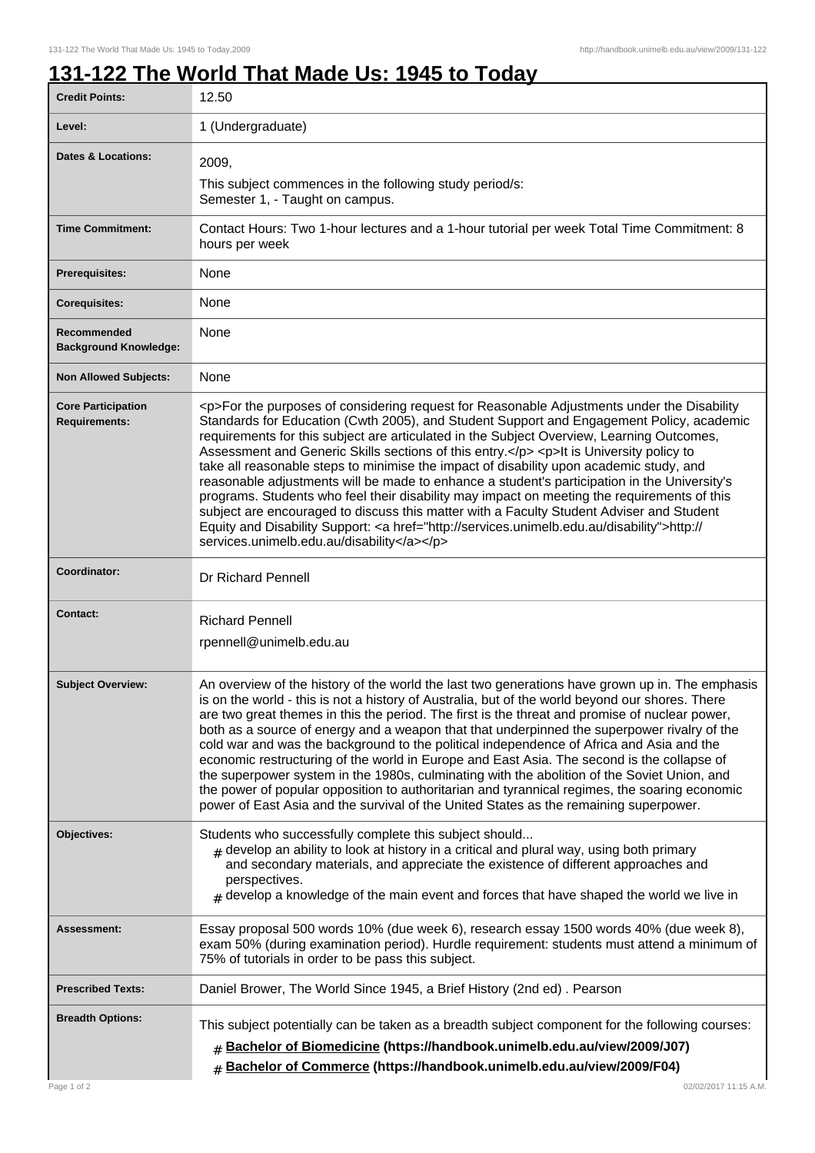1

## **131-122 The World That Made Us: 1945 to Today**

| <b>Credit Points:</b>                             | 12.50                                                                                                                                                                                                                                                                                                                                                                                                                                                                                                                                                                                                                                                                                                                                                                                                                                                                                                                        |
|---------------------------------------------------|------------------------------------------------------------------------------------------------------------------------------------------------------------------------------------------------------------------------------------------------------------------------------------------------------------------------------------------------------------------------------------------------------------------------------------------------------------------------------------------------------------------------------------------------------------------------------------------------------------------------------------------------------------------------------------------------------------------------------------------------------------------------------------------------------------------------------------------------------------------------------------------------------------------------------|
| Level:                                            | 1 (Undergraduate)                                                                                                                                                                                                                                                                                                                                                                                                                                                                                                                                                                                                                                                                                                                                                                                                                                                                                                            |
| <b>Dates &amp; Locations:</b>                     | 2009,<br>This subject commences in the following study period/s:<br>Semester 1, - Taught on campus.                                                                                                                                                                                                                                                                                                                                                                                                                                                                                                                                                                                                                                                                                                                                                                                                                          |
| <b>Time Commitment:</b>                           | Contact Hours: Two 1-hour lectures and a 1-hour tutorial per week Total Time Commitment: 8<br>hours per week                                                                                                                                                                                                                                                                                                                                                                                                                                                                                                                                                                                                                                                                                                                                                                                                                 |
| Prerequisites:                                    | None                                                                                                                                                                                                                                                                                                                                                                                                                                                                                                                                                                                                                                                                                                                                                                                                                                                                                                                         |
| <b>Corequisites:</b>                              | None                                                                                                                                                                                                                                                                                                                                                                                                                                                                                                                                                                                                                                                                                                                                                                                                                                                                                                                         |
| Recommended<br><b>Background Knowledge:</b>       | None                                                                                                                                                                                                                                                                                                                                                                                                                                                                                                                                                                                                                                                                                                                                                                                                                                                                                                                         |
| <b>Non Allowed Subjects:</b>                      | None                                                                                                                                                                                                                                                                                                                                                                                                                                                                                                                                                                                                                                                                                                                                                                                                                                                                                                                         |
| <b>Core Participation</b><br><b>Requirements:</b> | <p>For the purposes of considering request for Reasonable Adjustments under the Disability<br/>Standards for Education (Cwth 2005), and Student Support and Engagement Policy, academic<br/>requirements for this subject are articulated in the Subject Overview, Learning Outcomes,<br/>Assessment and Generic Skills sections of this entry.</p> <p>lt is University policy to<br/>take all reasonable steps to minimise the impact of disability upon academic study, and<br/>reasonable adjustments will be made to enhance a student's participation in the University's<br/>programs. Students who feel their disability may impact on meeting the requirements of this<br/>subject are encouraged to discuss this matter with a Faculty Student Adviser and Student<br/>Equity and Disability Support: &lt; a href="http://services.unimelb.edu.au/disability"&gt;http://<br/>services.unimelb.edu.au/disability</p> |
| Coordinator:                                      | Dr Richard Pennell                                                                                                                                                                                                                                                                                                                                                                                                                                                                                                                                                                                                                                                                                                                                                                                                                                                                                                           |
| <b>Contact:</b>                                   | <b>Richard Pennell</b><br>rpennell@unimelb.edu.au                                                                                                                                                                                                                                                                                                                                                                                                                                                                                                                                                                                                                                                                                                                                                                                                                                                                            |
| <b>Subject Overview:</b>                          | An overview of the history of the world the last two generations have grown up in. The emphasis<br>is on the world - this is not a history of Australia, but of the world beyond our shores. There<br>are two great themes in this the period. The first is the threat and promise of nuclear power,<br>both as a source of energy and a weapon that that underpinned the superpower rivalry of the<br>cold war and was the background to the political independence of Africa and Asia and the<br>economic restructuring of the world in Europe and East Asia. The second is the collapse of<br>the superpower system in the 1980s, culminating with the abolition of the Soviet Union, and<br>the power of popular opposition to authoritarian and tyrannical regimes, the soaring economic<br>power of East Asia and the survival of the United States as the remaining superpower.                                       |
| Objectives:                                       | Students who successfully complete this subject should<br>$_{\#}$ develop an ability to look at history in a critical and plural way, using both primary<br>and secondary materials, and appreciate the existence of different approaches and<br>perspectives.<br>$_{\#}$ develop a knowledge of the main event and forces that have shaped the world we live in                                                                                                                                                                                                                                                                                                                                                                                                                                                                                                                                                             |
| Assessment:                                       | Essay proposal 500 words 10% (due week 6), research essay 1500 words 40% (due week 8),<br>exam 50% (during examination period). Hurdle requirement: students must attend a minimum of<br>75% of tutorials in order to be pass this subject.                                                                                                                                                                                                                                                                                                                                                                                                                                                                                                                                                                                                                                                                                  |
| <b>Prescribed Texts:</b>                          | Daniel Brower, The World Since 1945, a Brief History (2nd ed). Pearson                                                                                                                                                                                                                                                                                                                                                                                                                                                                                                                                                                                                                                                                                                                                                                                                                                                       |
| <b>Breadth Options:</b>                           | This subject potentially can be taken as a breadth subject component for the following courses:<br><b># Bachelor of Biomedicine (https://handbook.unimelb.edu.au/view/2009/J07)</b><br># Bachelor of Commerce (https://handbook.unimelb.edu.au/view/2009/F04)                                                                                                                                                                                                                                                                                                                                                                                                                                                                                                                                                                                                                                                                |
| Page 1 of 2                                       | 02/02/2017 11:15 A.M.                                                                                                                                                                                                                                                                                                                                                                                                                                                                                                                                                                                                                                                                                                                                                                                                                                                                                                        |